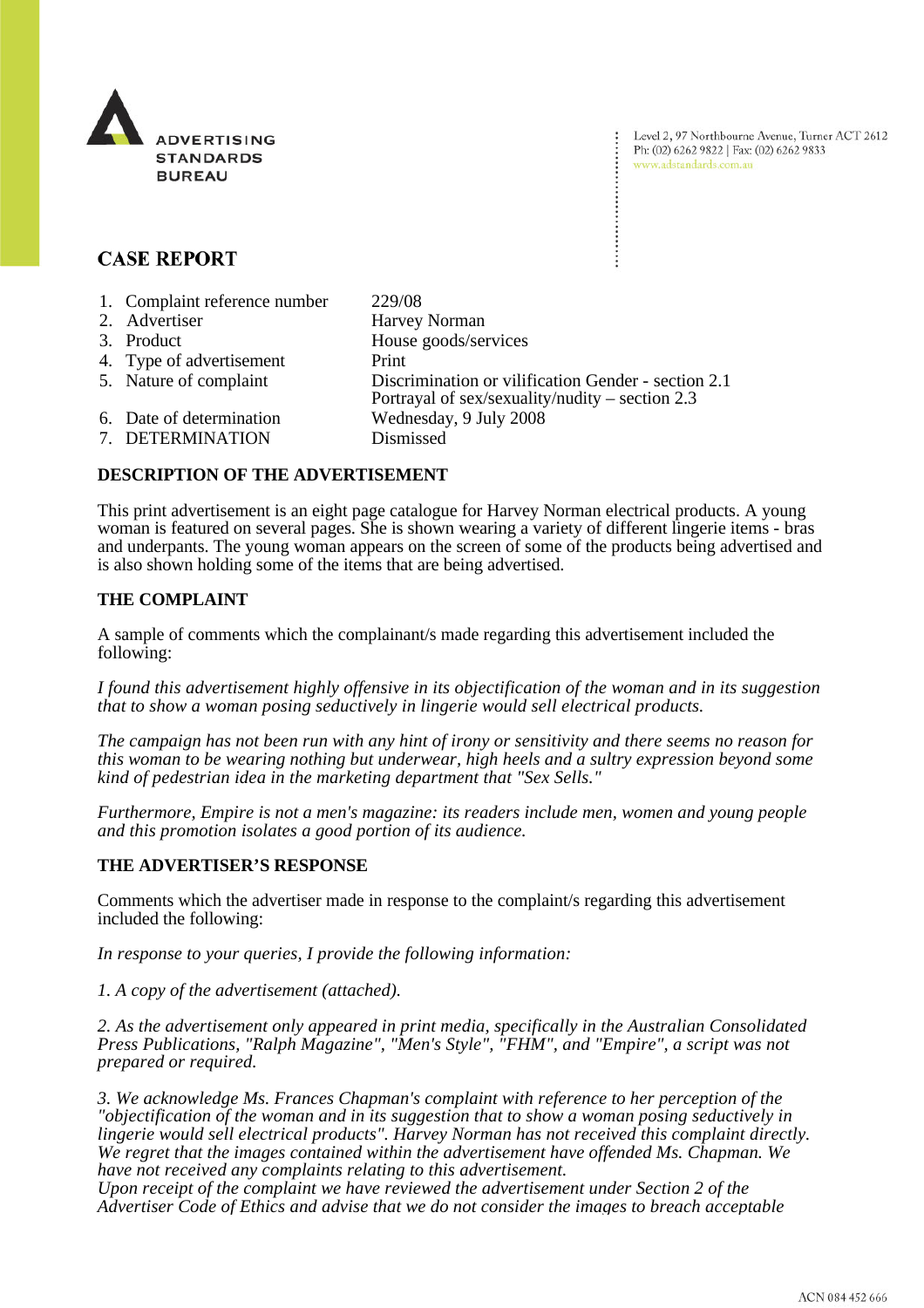

# **CASE REPORT**

| 1. Complaint reference number | 229/08                                                                                                   |
|-------------------------------|----------------------------------------------------------------------------------------------------------|
| 2. Advertiser                 | Harvey Norman                                                                                            |
| 3. Product                    | House goods/services                                                                                     |
| 4. Type of advertisement      | Print                                                                                                    |
| 5. Nature of complaint        | Discrimination or vilification Gender - section 2.1<br>Portrayal of sex/sexuality/nudity – section $2.3$ |
| 6. Date of determination      | Wednesday, 9 July 2008                                                                                   |
| 7. DETERMINATION              | Dismissed                                                                                                |

## **DESCRIPTION OF THE ADVERTISEMENT**

This print advertisement is an eight page catalogue for Harvey Norman electrical products. A young woman is featured on several pages. She is shown wearing a variety of different lingerie items - bras and underpants. The young woman appears on the screen of some of the products being advertised and is also shown holding some of the items that are being advertised.

## **THE COMPLAINT**

A sample of comments which the complainant/s made regarding this advertisement included the following:

*I found this advertisement highly offensive in its objectification of the woman and in its suggestion that to show a woman posing seductively in lingerie would sell electrical products.* 

*The campaign has not been run with any hint of irony or sensitivity and there seems no reason for this woman to be wearing nothing but underwear, high heels and a sultry expression beyond some kind of pedestrian idea in the marketing department that "Sex Sells."*

*Furthermore, Empire is not a men's magazine: its readers include men, women and young people and this promotion isolates a good portion of its audience.*

## **THE ADVERTISER'S RESPONSE**

Comments which the advertiser made in response to the complaint/s regarding this advertisement included the following:

*In response to your queries, I provide the following information:*

*1. A copy of the advertisement (attached).*

*2. As the advertisement only appeared in print media, specifically in the Australian Consolidated Press Publications, "Ralph Magazine", "Men's Style", "FHM", and "Empire", a script was not prepared or required.*

*3. We acknowledge Ms. Frances Chapman's complaint with reference to her perception of the "objectification of the woman and in its suggestion that to show a woman posing seductively in lingerie would sell electrical products". Harvey Norman has not received this complaint directly. We regret that the images contained within the advertisement have offended Ms. Chapman. We have not received any complaints relating to this advertisement.*

*Upon receipt of the complaint we have reviewed the advertisement under Section 2 of the Advertiser Code of Ethics and advise that we do not consider the images to breach acceptable*